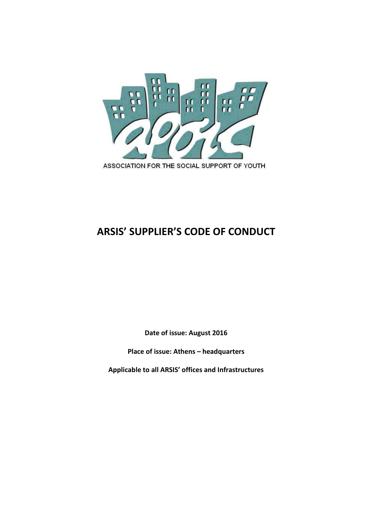

# **ARSIS' SUPPLIER'S CODE OF CONDUCT**

**Date of issue: August 2016** 

**Place of issue: Athens – headquarters** 

**Applicable to all ARSIS' offices and Infrastructures**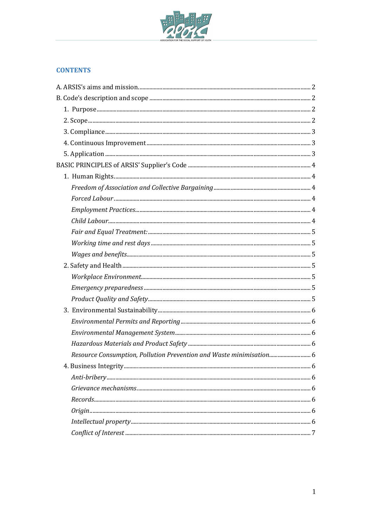

# **CONTENTS**

| Resource Consumption, Pollution Prevention and Waste minimisation 6 |  |
|---------------------------------------------------------------------|--|
|                                                                     |  |
|                                                                     |  |
|                                                                     |  |
|                                                                     |  |
|                                                                     |  |
|                                                                     |  |
|                                                                     |  |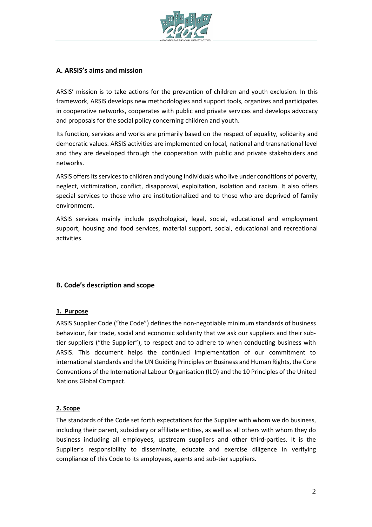

# **A. ARSIS's aims and mission**

ARSIS' mission is to take actions for the prevention of children and youth exclusion. In this framework, ARSIS develops new methodologies and support tools, organizes and participates in cooperative networks, cooperates with public and private services and develops advocacy and proposals for the social policy concerning children and youth.

Its function, services and works are primarily based on the respect of equality, solidarity and democratic values. ARSIS activities are implemented on local, national and transnational level and they are developed through the cooperation with public and private stakeholders and networks.

ARSIS offers its services to children and young individuals who live under conditions of poverty, neglect, victimization, conflict, disapproval, exploitation, isolation and racism. It also offers special services to those who are institutionalized and to those who are deprived of family environment.

ARSIS services mainly include psychological, legal, social, educational and employment support, housing and food services, material support, social, educational and recreational activities.

# **B. Code's description and scope**

## **1. Purpose**

ARSIS Supplier Code ("the Code") defines the non-negotiable minimum standards of business behaviour, fair trade, social and economic solidarity that we ask our suppliers and their subtier suppliers ("the Supplier"), to respect and to adhere to when conducting business with ARSIS. This document helps the continued implementation of our commitment to international standards and the UN Guiding Principles on Business and Human Rights, the Core Conventions of the International Labour Organisation (ILO) and the 10 Principles of the United Nations Global Compact.

## **2. Scope**

The standards of the Code set forth expectations for the Supplier with whom we do business, including their parent, subsidiary or affiliate entities, as well as all others with whom they do business including all employees, upstream suppliers and other third-parties. It is the Supplier's responsibility to disseminate, educate and exercise diligence in verifying compliance of this Code to its employees, agents and sub-tier suppliers.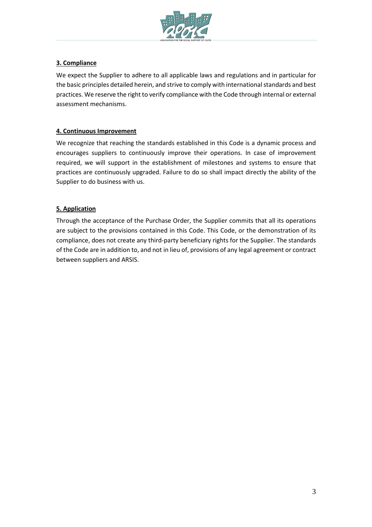

# **3. Compliance**

We expect the Supplier to adhere to all applicable laws and regulations and in particular for the basic principles detailed herein, and strive to comply with international standards and best practices. We reserve the right to verify compliance with the Code through internal or external assessment mechanisms.

# **4. Continuous Improvement**

We recognize that reaching the standards established in this Code is a dynamic process and encourages suppliers to continuously improve their operations. In case of improvement required, we will support in the establishment of milestones and systems to ensure that practices are continuously upgraded. Failure to do so shall impact directly the ability of the Supplier to do business with us.

# **5. Application**

Through the acceptance of the Purchase Order, the Supplier commits that all its operations are subject to the provisions contained in this Code. This Code, or the demonstration of its compliance, does not create any third-party beneficiary rights for the Supplier. The standards of the Code are in addition to, and not in lieu of, provisions of any legal agreement or contract between suppliers and ARSIS.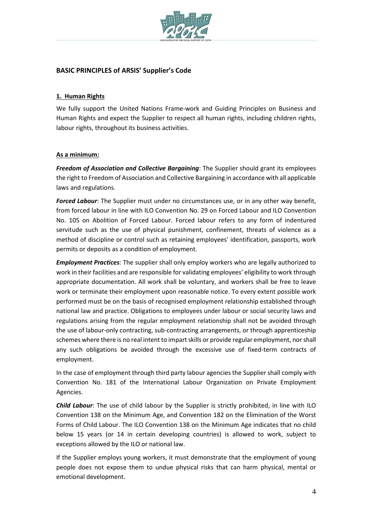

# **BASIC PRINCIPLES of ARSIS' Supplier's Code**

#### **1. Human Rights**

We fully support the United Nations Frame-work and Guiding Principles on Business and Human Rights and expect the Supplier to respect all human rights, including children rights, labour rights, throughout its business activities.

#### **As a minimum:**

*Freedom of Association and Collective Bargaining*: The Supplier should grant its employees the right to Freedom of Association and Collective Bargaining in accordance with all applicable laws and regulations.

*Forced Labour*: The Supplier must under no circumstances use, or in any other way benefit, from forced labour in line with ILO Convention No. 29 on Forced Labour and ILO Convention No. 105 on Abolition of Forced Labour. Forced labour refers to any form of indentured servitude such as the use of physical punishment, confinement, threats of violence as a method of discipline or control such as retaining employees' identification, passports, work permits or deposits as a condition of employment.

*Employment Practices:* The supplier shall only employ workers who are legally authorized to work in their facilities and are responsible for validating employees' eligibility to work through appropriate documentation. All work shall be voluntary, and workers shall be free to leave work or terminate their employment upon reasonable notice. To every extent possible work performed must be on the basis of recognised employment relationship established through national law and practice. Obligations to employees under labour or social security laws and regulations arising from the regular employment relationship shall not be avoided through the use of labour-only contracting, sub-contracting arrangements, or through apprenticeship schemes where there is no real intent to impart skills or provide regular employment, nor shall any such obligations be avoided through the excessive use of fixed-term contracts of employment.

In the case of employment through third party labour agencies the Supplier shall comply with Convention No. 181 of the International Labour Organization on Private Employment Agencies.

*Child Labour*: The use of child labour by the Supplier is strictly prohibited, in line with ILO Convention 138 on the Minimum Age, and Convention 182 on the Elimination of the Worst Forms of Child Labour. The ILO Convention 138 on the Minimum Age indicates that no child below 15 years (or 14 in certain developing countries) is allowed to work, subject to exceptions allowed by the ILO or national law.

If the Supplier employs young workers, it must demonstrate that the employment of young people does not expose them to undue physical risks that can harm physical, mental or emotional development.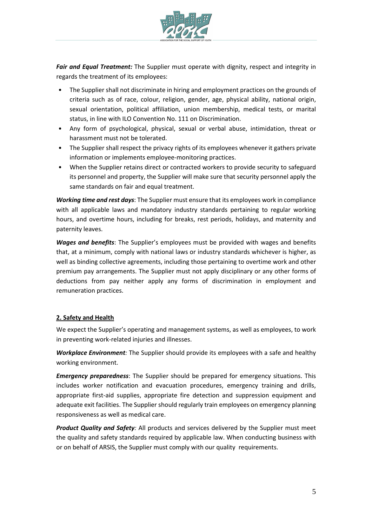

*Fair and Equal Treatment:* The Supplier must operate with dignity, respect and integrity in regards the treatment of its employees:

- The Supplier shall not discriminate in hiring and employment practices on the grounds of criteria such as of race, colour, religion, gender, age, physical ability, national origin, sexual orientation, political affiliation, union membership, medical tests, or marital status, in line with ILO Convention No. 111 on Discrimination.
- Any form of psychological, physical, sexual or verbal abuse, intimidation, threat or harassment must not be tolerated.
- The Supplier shall respect the privacy rights of its employees whenever it gathers private information or implements employee-monitoring practices.
- When the Supplier retains direct or contracted workers to provide security to safeguard its personnel and property, the Supplier will make sure that security personnel apply the same standards on fair and equal treatment.

*Working time and rest days*: The Supplier must ensure that its employees work in compliance with all applicable laws and mandatory industry standards pertaining to regular working hours, and overtime hours, including for breaks, rest periods, holidays, and maternity and paternity leaves.

*Wages and benefits*: The Supplier's employees must be provided with wages and benefits that, at a minimum, comply with national laws or industry standards whichever is higher, as well as binding collective agreements, including those pertaining to overtime work and other premium pay arrangements. The Supplier must not apply disciplinary or any other forms of deductions from pay neither apply any forms of discrimination in employment and remuneration practices.

## **2. Safety and Health**

We expect the Supplier's operating and management systems, as well as employees, to work in preventing work-related injuries and illnesses.

*Workplace Environment:* The Supplier should provide its employees with a safe and healthy working environment.

*Emergency preparedness*: The Supplier should be prepared for emergency situations. This includes worker notification and evacuation procedures, emergency training and drills, appropriate first-aid supplies, appropriate fire detection and suppression equipment and adequate exit facilities. The Supplier should regularly train employees on emergency planning responsiveness as well as medical care.

*Product Quality and Safety:* All products and services delivered by the Supplier must meet the quality and safety standards required by applicable law. When conducting business with or on behalf of ARSIS, the Supplier must comply with our quality requirements.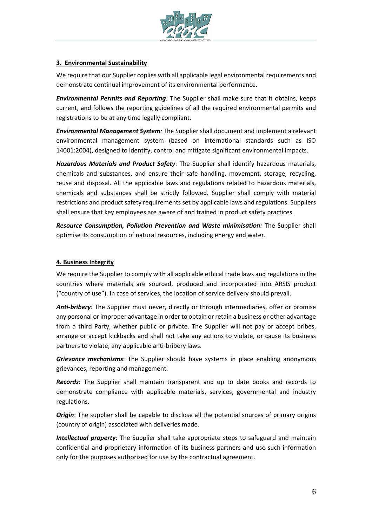

# **3. Environmental Sustainability**

We require that our Supplier coplies with all applicable legal environmental requirements and demonstrate continual improvement of its environmental performance.

*Environmental Permits and Reporting:* The Supplier shall make sure that it obtains, keeps current, and follows the reporting guidelines of all the required environmental permits and registrations to be at any time legally compliant.

*Environmental Management System:* The Supplier shall document and implement a relevant environmental management system (based on international standards such as ISO 14001:2004), designed to identify, control and mitigate significant environmental impacts.

*Hazardous Materials and Product Safety*: The Supplier shall identify hazardous materials, chemicals and substances, and ensure their safe handling, movement, storage, recycling, reuse and disposal. All the applicable laws and regulations related to hazardous materials, chemicals and substances shall be strictly followed. Supplier shall comply with material restrictions and product safety requirements set by applicable laws and regulations. Suppliers shall ensure that key employees are aware of and trained in product safety practices.

*Resource Consumption, Pollution Prevention and Waste minimisation:* The Supplier shall optimise its consumption of natural resources, including energy and water.

# **4. Business Integrity**

We require the Supplier to comply with all applicable ethical trade laws and regulations in the countries where materials are sourced, produced and incorporated into ARSIS product ("country of use"). In case of services, the location of service delivery should prevail.

*Anti-bribery:* The Supplier must never, directly or through intermediaries, offer or promise any personal or improper advantage in order to obtain or retain a business or other advantage from a third Party, whether public or private. The Supplier will not pay or accept bribes, arrange or accept kickbacks and shall not take any actions to violate, or cause its business partners to violate, any applicable anti-bribery laws.

*Grievance mechanisms*: The Supplier should have systems in place enabling anonymous grievances, reporting and management.

*Records*: The Supplier shall maintain transparent and up to date books and records to demonstrate compliance with applicable materials, services, governmental and industry regulations.

*Origin*: The supplier shall be capable to disclose all the potential sources of primary origins (country of origin) associated with deliveries made.

*Intellectual property*: The Supplier shall take appropriate steps to safeguard and maintain confidential and proprietary information of its business partners and use such information only for the purposes authorized for use by the contractual agreement.